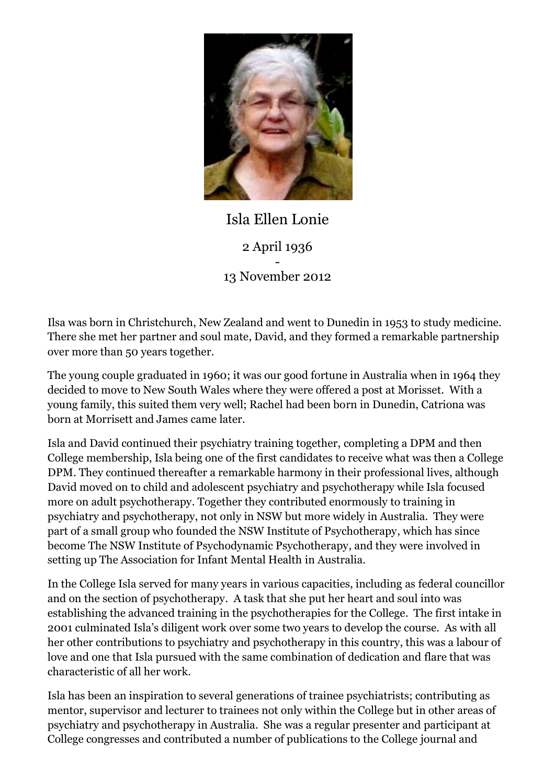

## Isla Ellen Lonie 2 April 1936 - 13 November 2012

Ilsa was born in Christchurch, New Zealand and went to Dunedin in 1953 to study medicine. There she met her partner and soul mate, David, and they formed a remarkable partnership over more than 50 years together.

The young couple graduated in 1960; it was our good fortune in Australia when in 1964 they decided to move to New South Wales where they were offered a post at Morisset. With a young family, this suited them very well; Rachel had been born in Dunedin, Catriona was born at Morrisett and James came later.

Isla and David continued their psychiatry training together, completing a DPM and then College membership, Isla being one of the first candidates to receive what was then a College DPM. They continued thereafter a remarkable harmony in their professional lives, although David moved on to child and adolescent psychiatry and psychotherapy while Isla focused more on adult psychotherapy. Together they contributed enormously to training in psychiatry and psychotherapy, not only in NSW but more widely in Australia. They were part of a small group who founded the NSW Institute of Psychotherapy, which has since become The NSW Institute of Psychodynamic Psychotherapy, and they were involved in setting up The Association for Infant Mental Health in Australia.

In the College Isla served for many years in various capacities, including as federal councillor and on the section of psychotherapy. A task that she put her heart and soul into was establishing the advanced training in the psychotherapies for the College. The first intake in 2001 culminated Isla's diligent work over some two years to develop the course. As with all her other contributions to psychiatry and psychotherapy in this country, this was a labour of love and one that Isla pursued with the same combination of dedication and flare that was characteristic of all her work.

Isla has been an inspiration to several generations of trainee psychiatrists; contributing as mentor, supervisor and lecturer to trainees not only within the College but in other areas of psychiatry and psychotherapy in Australia. She was a regular presenter and participant at College congresses and contributed a number of publications to the College journal and